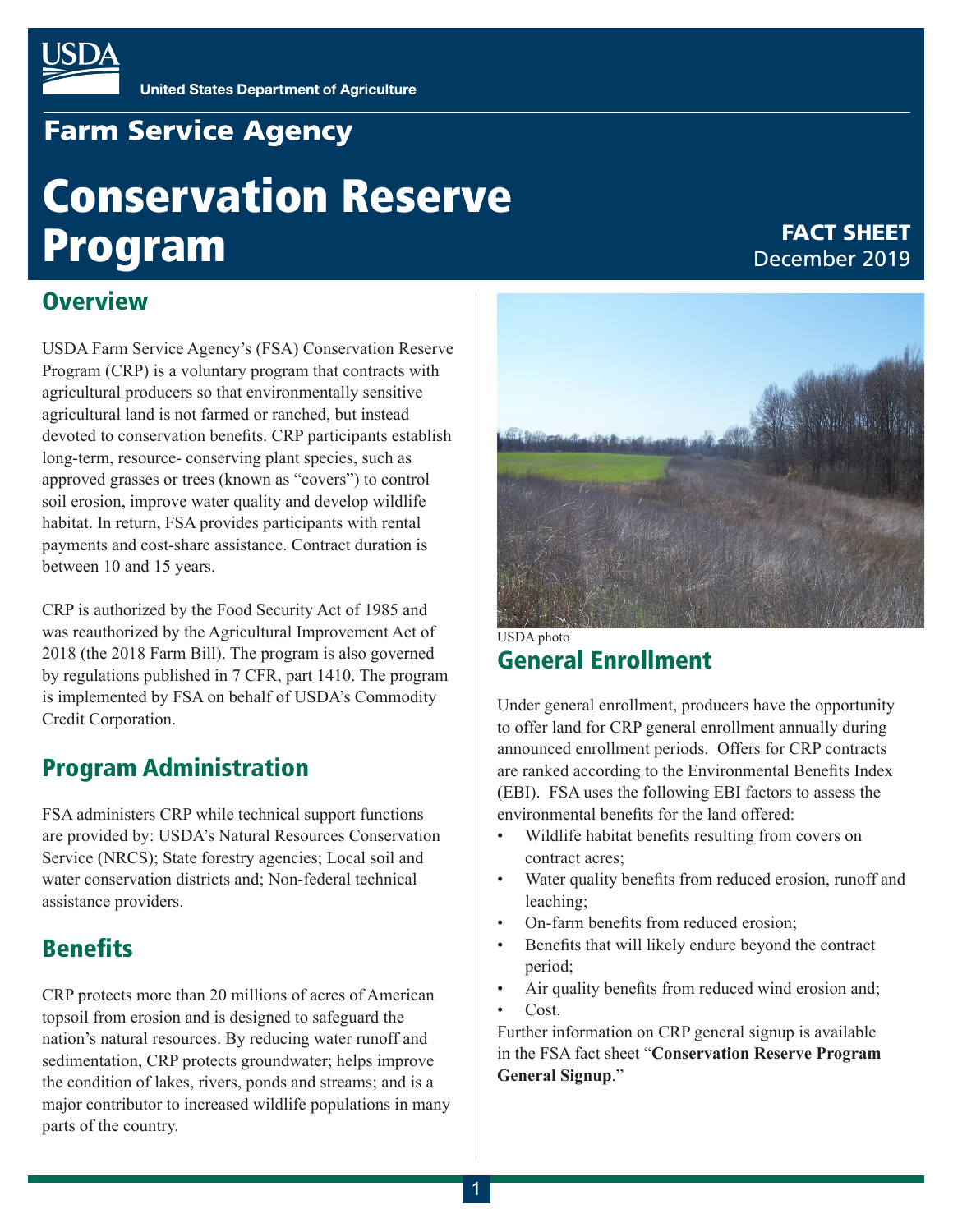

# **Farm Service Agency**

# Conservation Reserve Program

#### FACT SHEET December 2019

### **Overview**

USDA Farm Service Agency's (FSA) Conservation Reserve Program (CRP) is a voluntary program that contracts with agricultural producers so that environmentally sensitive agricultural land is not farmed or ranched, but instead devoted to conservation benefits. CRP participants establish long-term, resource- conserving plant species, such as approved grasses or trees (known as "covers") to control soil erosion, improve water quality and develop wildlife habitat. In return, FSA provides participants with rental payments and cost-share assistance. Contract duration is between 10 and 15 years.

CRP is authorized by the Food Security Act of 1985 and was reauthorized by the Agricultural Improvement Act of 2018 (the 2018 Farm Bill). The program is also governed by regulations published in 7 CFR, part 1410. The program is implemented by FSA on behalf of USDA's Commodity Credit Corporation.

# Program Administration

FSA administers CRP while technical support functions are provided by: USDA's Natural Resources Conservation Service (NRCS); State forestry agencies; Local soil and water conservation districts and; Non-federal technical assistance providers.

# **Benefits**

CRP protects more than 20 millions of acres of American topsoil from erosion and is designed to safeguard the nation's natural resources. By reducing water runoff and sedimentation, CRP protects groundwater; helps improve the condition of lakes, rivers, ponds and streams; and is a major contributor to increased wildlife populations in many parts of the country.



General Enrollment USDA photo

Under general enrollment, producers have the opportunity to offer land for CRP general enrollment annually during announced enrollment periods. Offers for CRP contracts are ranked according to the Environmental Benefits Index (EBI). FSA uses the following EBI factors to assess the environmental benefits for the land offered:

- Wildlife habitat benefits resulting from covers on contract acres;
- Water quality benefits from reduced erosion, runoff and leaching;
- On-farm benefits from reduced erosion;
- Benefits that will likely endure beyond the contract period;
- Air quality benefits from reduced wind erosion and;
- Cost.

Further information on CRP general signup is available in the FSA fact sheet "**Conservation Reserve Program General Signup**."